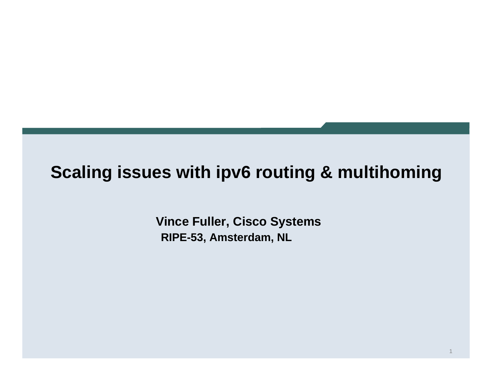#### **Scaling issues with ipv6 routing & multihoming**

**Vince Fuller, Cisco Systems RIPE-53, Amsterdam, NL**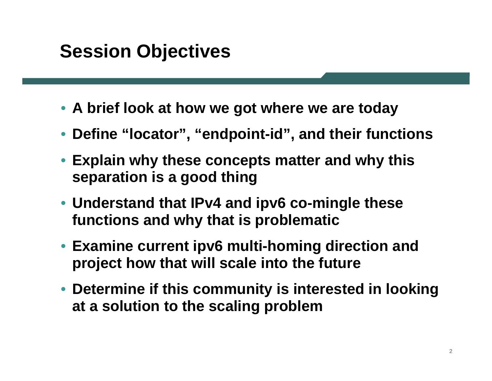### **Session Objectives**

- **A brief look at how we got where we are today**
- •**Define "locator", "endpoint-id", and their functions**
- **Explain why these concepts matter and why this separation is a good thing**
- **Understand that IPv4 and ipv6 co-mingle these functions and why that is problematic**
- **Examine current ipv6 multi-homing direction and project how that will scale into the future**
- **Determine if this community is interested in looking at a solution to the scaling problem**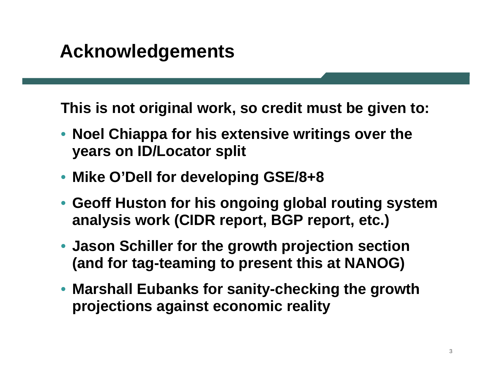**This is not original work, so credit must be given to:**

- **Noel Chiappa for his extensive writings over the years on ID/Locator split**
- **Mike O'Dell for developing GSE/8+8**
- **Geoff Huston for his ongoing global routing system analysis work (CIDR report, BGP report, etc.)**
- **Jason Schiller for the growth projection section (and for tag-teaming to present this at NANOG)**
- **Marshall Eubanks for sanity-checking the growth projections against economic reality**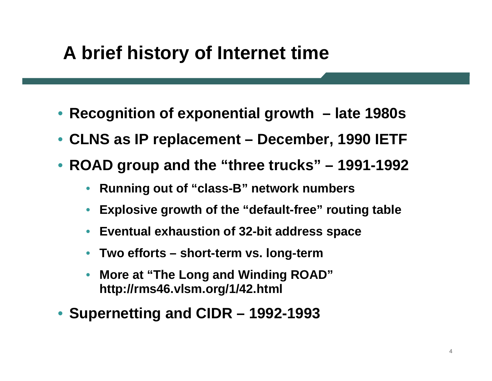# **A brief history of Internet time**

- **Recognition of exponential growth – late 1980s**
- **CLNS as IP replacement – December, 1990 IETF**
- **ROAD group and the "three trucks" – 1991-1992**
	- $\bullet$ **Running out of "class-B" network numbers**
	- •**Explosive growth of the "default-free" routing table**
	- $\bullet$ **Eventual exhaustion of 32-bit address space**
	- •**Two efforts – short-term vs. long-term**
	- • **More at "The Long and Winding ROAD" http://rms46.vlsm.org/1/42.html**
- **Supernetting and CIDR – 1992-1993**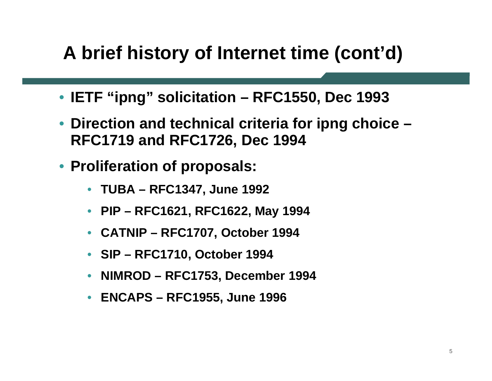# **A brief history of Internet time (cont'd)**

- **IETF "ipng" solicitation – RFC1550, Dec 1993**
- **Direction and technical criteria for ipng choice – RFC1719 and RFC1726, Dec 1994**
- **Proliferation of proposals:**
	- •**TUBA – RFC1347, June 1992**
	- **PIP – RFC1621, RFC1622, May 1994**
	- •**CATNIP – RFC1707, October 1994**
	- **SIP – RFC1710, October 1994**
	- •**NIMROD – RFC1753, December 1994**
	- **ENCAPS – RFC1955, June 1996**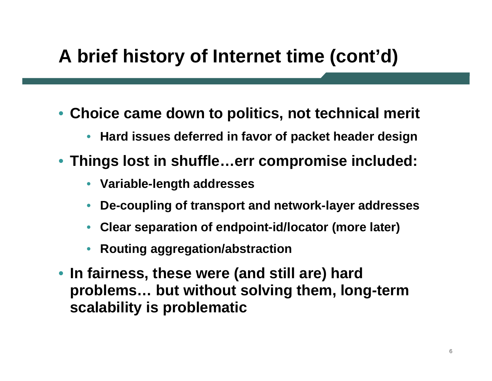# **A brief history of Internet time (cont'd)**

- **Choice came down to politics, not technical merit**
	- •**Hard issues deferred in favor of packet header design**
- **Things lost in shuffle…err compromise included:**
	- **Variable-length addresses**
	- •**De-coupling of transport and network-layer addresses**
	- •**Clear separation of endpoint-id/locator (more later)**
	- •**Routing aggregation/abstraction**
- **In fairness, these were (and still are) hard problems… but without solving them, long-term scalability is problematic**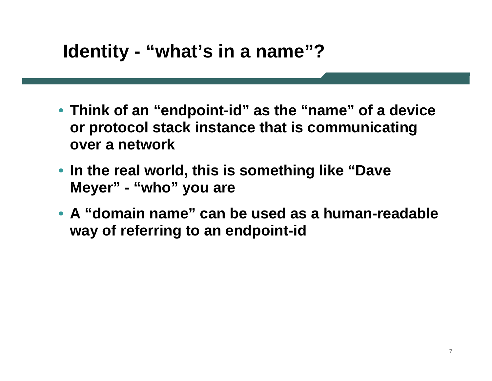### **Identity - "what's in a name"?**

- **Think of an "endpoint-id" as the "name" of a device or protocol stack instance that is communicating over a network**
- **In the real world, this is something like "Dave Meyer" - "who" you are**
- **A "domain name" can be used as a human-readable way of referring to an endpoint-id**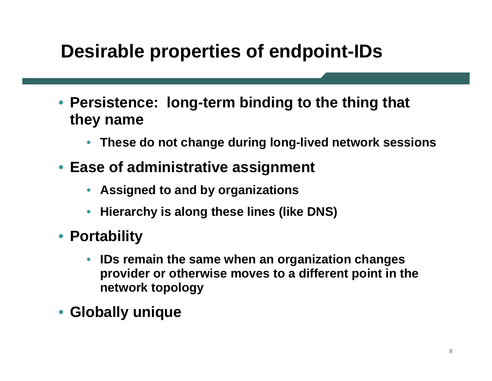## **Desirable properties of endpoint-IDs**

- **Persistence: long-term binding to the thing that they name**
	- •**These do not change during long-lived network sessions**
- **Ease of administrative assignment**
	- **Assigned to and by organizations**
	- •**Hierarchy is along these lines (like DNS)**
- **Portability**
	- • **IDs remain the same when an organization changes provider or otherwise moves to a different point in the network topology**
- **Globally unique**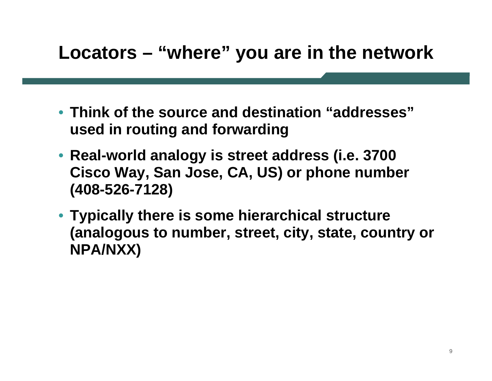### **Locators – "where" you are in the network**

- **Think of the source and destination "addresses" used in routing and forwarding**
- **Real-world analogy is street address (i.e. 3700 Cisco Way, San Jose, CA, US) or phone number (408-526-7128)**
- **Typically there is some hierarchical structure (analogous to number, street, city, state, country or NPA/NXX)**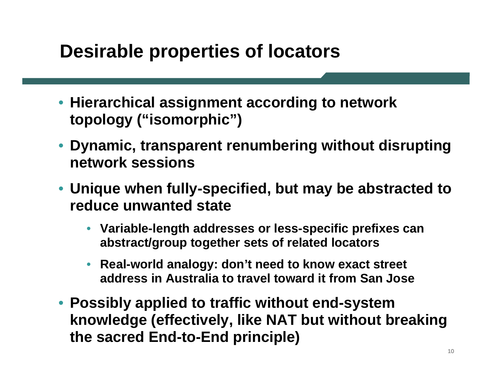### **Desirable properties of locators**

- **Hierarchical assignment according to network topology ("isomorphic")**
- **Dynamic, transparent renumbering without disrupting network sessions**
- **Unique when fully-specified, but may be abstracted to reduce unwanted state**
	- **Variable-length addresses or less-specific prefixes can abstract/group together sets of related locators**
	- • **Real-world analogy: don't need to know exact street address in Australia to travel toward it from San Jose**
- **Possibly applied to traffic without end-system knowledge (effectively, like NAT but without breaking the sacred End-to-End principle)**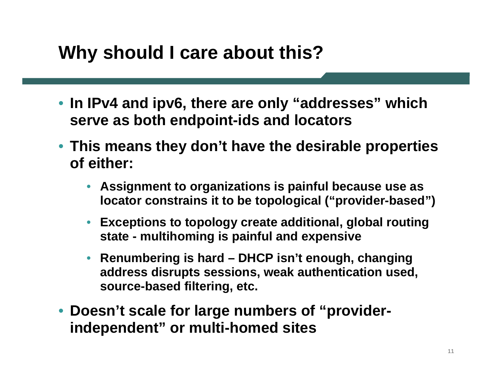# **Why should I care about this?**

- **In IPv4 and ipv6, there are only "addresses" which serve as both endpoint-ids and locators**
- **This means they don't have the desirable properties of either:**
	- **Assignment to organizations is painful because use as locator constrains it to be topological ("provider-based")**
	- **Exceptions to topology create additional, global routing state - multihoming is painful and expensive**
	- • **Renumbering is hard – DHCP isn't enough, changing address disrupts sessions, weak authentication used, source-based filtering, etc.**
- **Doesn't scale for large numbers of "providerindependent" or multi-homed sites**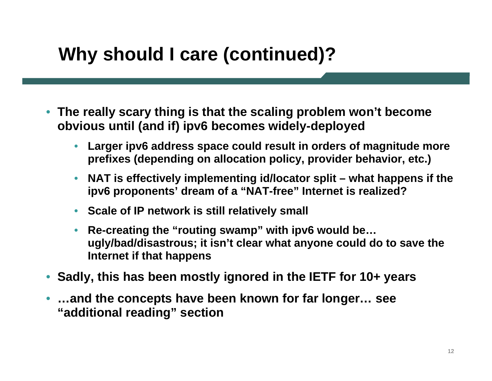# **Why should I care (continued)?**

- **The really scary thing is that the scaling problem won't become obvious until (and if) ipv6 becomes widely-deployed**
	- • **Larger ipv6 address space could result in orders of magnitude more prefixes (depending on allocation policy, provider behavior, etc.)**
	- $\bullet$  **NAT is effectively implementing id/locator split – what happens if the ipv6 proponents' dream of a "NAT-free" Internet is realized?**
	- **Scale of IP network is still relatively small**
	- • **Re-creating the "routing swamp" with ipv6 would be… ugly/bad/disastrous; it isn't clear what anyone could do to save the Internet if that happens**
- •**Sadly, this has been mostly ignored in the IETF for 10+ years**
- • **…and the concepts have been known for far longer… see "additional reading" section**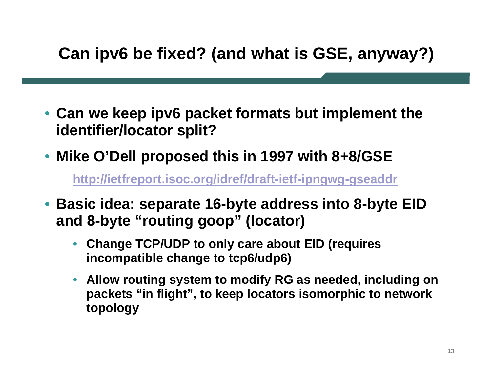#### **Can ipv6 be fixed? (and what is GSE, anyway?)**

- **Can we keep ipv6 packet formats but implement the identifier/locator split?**
- •**Mike O'Dell proposed this in 1997 with 8+8/GSE**

**<http://ietfreport.isoc.org/idref/draft-ietf-ipngwg-gseaddr>**

- **Basic idea: separate 16-byte address into 8-byte EID and 8-byte "routing goop" (locator)**
	- • **Change TCP/UDP to only care about EID (requires incompatible change to tcp6/udp6)**
	- **Allow routing system to modify RG as needed, including on packets "in flight", to keep locators isomorphic to network topology**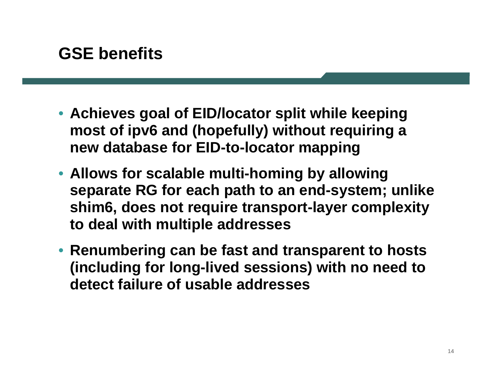#### **GSE benefits**

- **Achieves goal of EID/locator split while keeping most of ipv6 and (hopefully) without requiring a new database for EID-to-locator mapping**
- **Allows for scalable multi-homing by allowing separate RG for each path to an end-system; unlike shim6, does not require transport-layer complexity to deal with multiple addresses**
- **Renumbering can be fast and transparent to hosts (including for long-lived sessions) with no need to detect failure of usable addresses**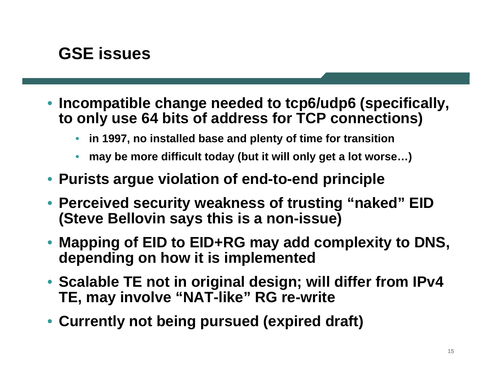#### **GSE issues**

- **Incompatible change needed to tcp6/udp6 (specifically, to only use 64 bits of address for TCP connections)**
	- •**in 1997, no installed base and plenty of time for transition**
	- •**may be more difficult today (but it will only get a lot worse…)**
- **Purists argue violation of end-to-end principle**
- **Perceived security weakness of trusting "naked" EID (Steve Bellovin says this is a non-issue)**
- **Mapping of EID to EID+RG may add complexity to DNS, depending on how it is implemented**
- **Scalable TE not in original design; will differ from IPv4 TE, may involve "NAT-like" RG re-write**
- **Currently not being pursued (expired draft)**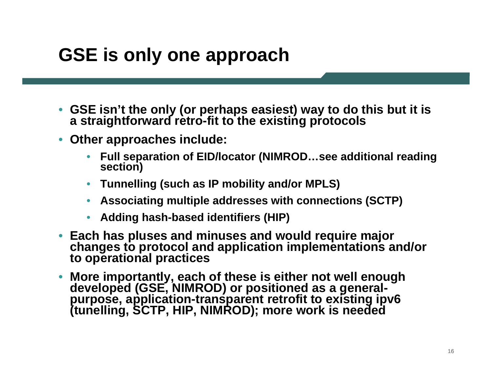# **GSE is only one approach**

- **GSE isn't the only (or perhaps easiest) way to do this but it is a straightforward retro-fit to the existing protocols**
- • **Other approaches include:**
	- •**Full separation of EID/locator (NIMROD…see additional reading section)**
	- **Tunnelling (such as IP mobility and/or MPLS)**
	- **Associating multiple addresses with connections (SCTP)**
	- •**Adding hash-based identifiers (HIP)**
- Each has pluses and minuses and would require major changes to protocol and application implementations and/or to operational practices
- •More importantly, each of these is either not well enough<br>developed (GSE, NIMROD) or positioned as a general-<br>purpose, application-transparent retrofit to existing ipv6<br>(tunelling, SCTP, HIP, NIMROD); more work is needed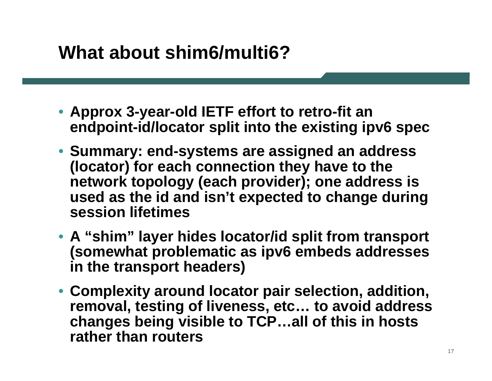## **What about shim6/multi6?**

- **Approx 3-year-old IETF effort to retro-fit an endpoint-id/locator split into the existing ipv6 spec**
- **Summary: end-systems are assigned an address (locator) for each connection they have to the network topology (each provider); one address is used as the id and isn't expected to change during session lifetimes**
- **A "shim" layer hides locator/id split from transport (somewhat problematic as ipv6 embeds addresses in the transport headers)**
- **Complexity around locator pair selection, addition, removal, testing of liveness, etc… to avoid address changes being visible to TCP…all of this in hosts rather than routers**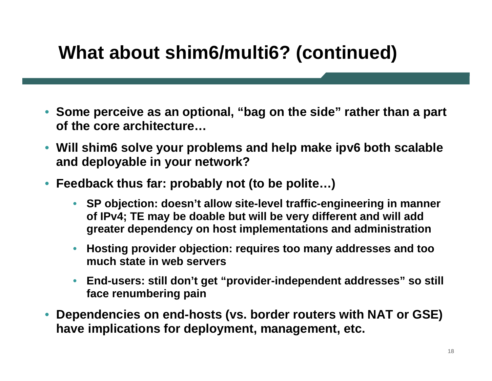# **What about shim6/multi6? (continued)**

- **Some perceive as an optional, "bag on the side" rather than a part of the core architecture…**
- **Will shim6 solve your problems and help make ipv6 both scalable and deployable in your network?**
- **Feedback thus far: probably not (to be polite…)**
	- **SP objection: doesn't allow site-level traffic-engineering in manner of IPv4; TE may be doable but will be very different and will add greater dependency on host implementations and administration**
	- $\bullet$  **Hosting provider objection: requires too many addresses and too much state in web servers**
	- $\bullet$  **End-users: still don't get "provider-independent addresses" so still face renumbering pain**
- • **Dependencies on end-hosts (vs. border routers with NAT or GSE) have implications for deployment, management, etc.**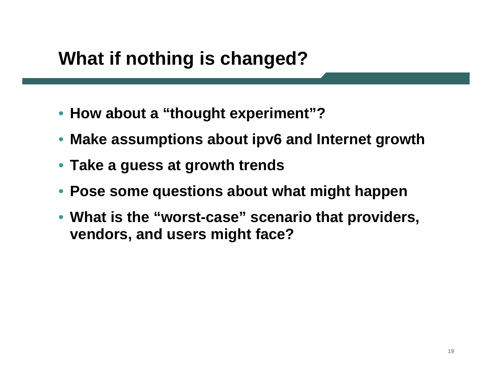# **What if nothing is changed?**

- **How about a "thought experiment"?**
- **Make assumptions about ipv6 and Internet growth**
- **Take a guess at growth trends**
- **Pose some questions about what might happen**
- **What is the "worst-case" scenario that providers, vendors, and users might face?**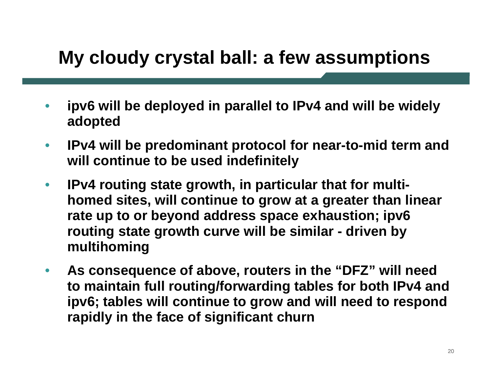# **My cloudy crystal ball: a few assumptions**

- • **ipv6 will be deployed in parallel to IPv4 and will be widely adopted**
- $\bullet$  **IPv4 will be predominant protocol for near-to-mid term and will continue to be used indefinitely**
- $\bullet$  **IPv4 routing state growth, in particular that for multihomed sites, will continue to grow at a greater than linear rate up to or beyond address space exhaustion; ipv6 routing state growth curve will be similar - driven by multihoming**
- • **As consequence of above, routers in the "DFZ" will need to maintain full routing/forwarding tables for both IPv4 and ipv6; tables will continue to grow and will need to respond rapidly in the face of significant churn**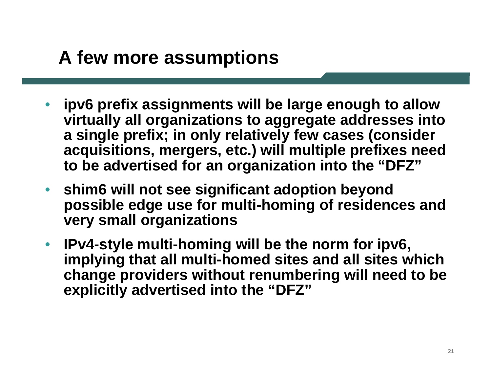## **A few more assumptions**

- • **ipv6 prefix assignments will be large enough to allow virtually all organizations to aggregate addresses into a single prefix; in only relatively few cases (consider acquisitions, mergers, etc.) will multiple prefixes need to be advertised for an organization into the "DFZ"**
- • **shim6 will not see significant adoption beyond possible edge use for multi-homing of residences and very small organizations**
- • **IPv4-style multi-homing will be the norm for ipv6, implying that all multi-homed sites and all sites which change providers without renumbering will need to be explicitly advertised into the "DFZ"**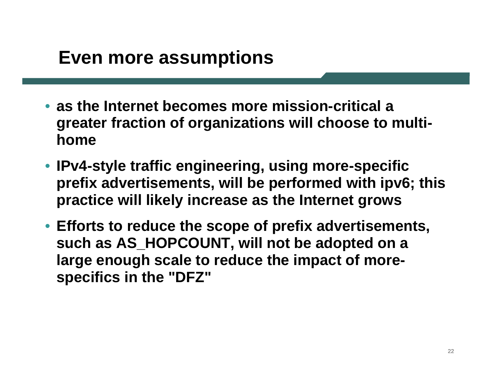### **Even more assumptions**

- **as the Internet becomes more mission-critical a greater fraction of organizations will choose to multihome**
- **IPv4-style traffic engineering, using more-specific prefix advertisements, will be performed with ipv6; this practice will likely increase as the Internet grows**
- **Efforts to reduce the scope of prefix advertisements, such as AS\_HOPCOUNT, will not be adopted on a large enough scale to reduce the impact of morespecifics in the "DFZ"**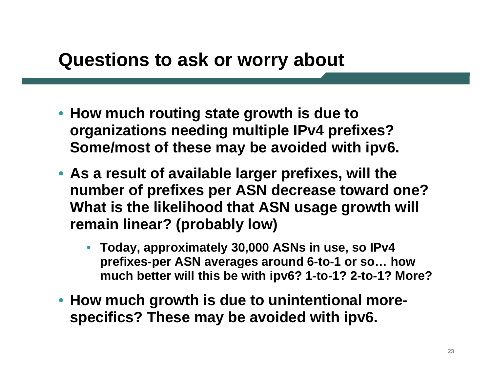### **Questions to ask or worry about**

- **How much routing state growth is due to organizations needing multiple IPv4 prefixes? Some/most of these may be avoided with ipv6.**
- **As a result of available larger prefixes, will the number of prefixes per ASN decrease toward one? What is the likelihood that ASN usage growth will remain linear? (probably low)**
	- **Today, approximately 30,000 ASNs in use, so IPv4 prefixes-per ASN averages around 6-to-1 or so… how much better will this be with ipv6? 1-to-1? 2-to-1? More?**
- **How much growth is due to unintentional morespecifics? These may be avoided with ipv6.**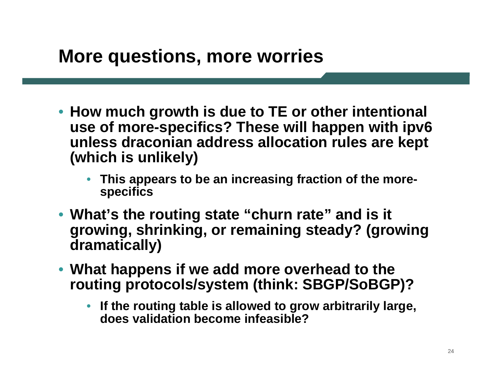#### **More questions, more worries**

- **How much growth is due to TE or other intentional use of more-specifics? These will happen with ipv6 unless draconian address allocation rules are kept (which is unlikely)**
	- **This appears to be an increasing fraction of the morespecifics**
- **What's the routing state "churn rate" and is it growing, shrinking, or remaining steady? (growing dramatically)**
- **What happens if we add more overhead to the routing protocols/system (think: SBGP/SoBGP)?**
	- **If the routing table is allowed to grow arbitrarily large, does validation become infeasible?**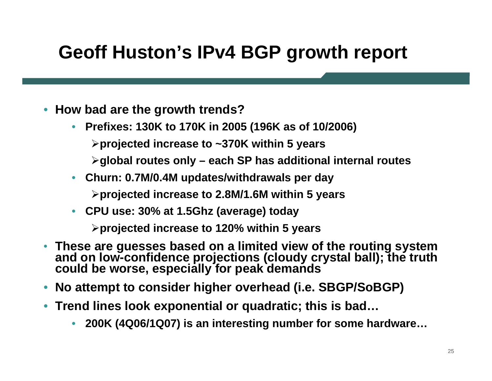# **Geoff Huston's IPv4 BGP growth report**

- • **How bad are the growth trends?**
	- • **Prefixes: 130K to 170K in 2005 (196K as of 10/2006)**
		- ¾**projected increase to ~370K within 5 years**
		- ¾**global routes only – each SP has additional internal routes**
	- **Churn: 0.7M/0.4M updates/withdrawals per day**

¾**projected increase to 2.8M/1.6M within 5 years**

• **CPU use: 30% at 1.5Ghz (average) today**

¾**projected increase to 120% within 5 years**

- $\bullet$ **These are guesses based on a limited view of the routing system and on low-confidence projections (cloudy crystal ball); the truth could be worse, especially for peak demands**
- •**No attempt to consider higher overhead (i.e. SBGP/SoBGP)**
- • **Trend lines look exponential or quadratic; this is bad…**
	- •**200K (4Q06/1Q07) is an interesting number for some hardware…**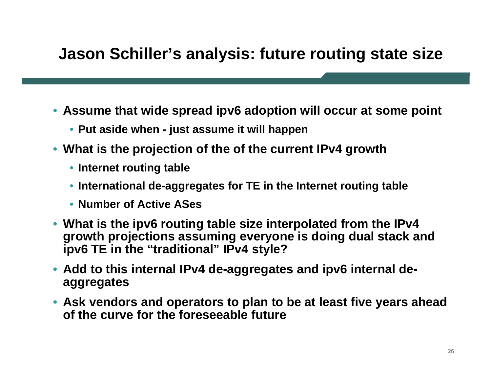#### **Jason Schiller's analysis: future routing state size**

- **Assume that wide spread ipv6 adoption will occur at some point**
	- **Put aside when - just assume it will happen**
- **What is the projection of the of the current IPv4 growth**
	- **Internet routing table**
	- **International de-aggregates for TE in the Internet routing table**
	- **Number of Active ASes**
- **What is the ipv6 routing table size interpolated from the IPv4 growth projections assuming everyone is doing dual stack and ipv6 TE in the "traditional" IPv4 style?**
- **Add to this internal IPv4 de-aggregates and ipv6 internal deaggregates**
- **Ask vendors and operators to plan to be at least five years ahead of the curve for the foreseeable future**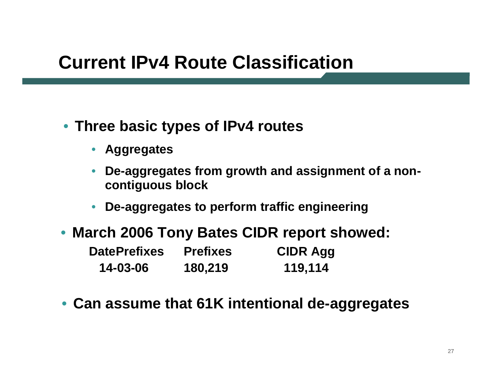## **Current IPv4 Route Classification**

- **Three basic types of IPv4 routes**
	- **Aggregates**
	- • **De-aggregates from growth and assignment of a noncontiguous block**
	- •**De-aggregates to perform traffic engineering**
- **March 2006 Tony Bates CIDR report showed: DatePrefixes Prefixes CIDR Agg 14-03-06 180,219 119,114**
- **Can assume that 61K intentional de-aggregates**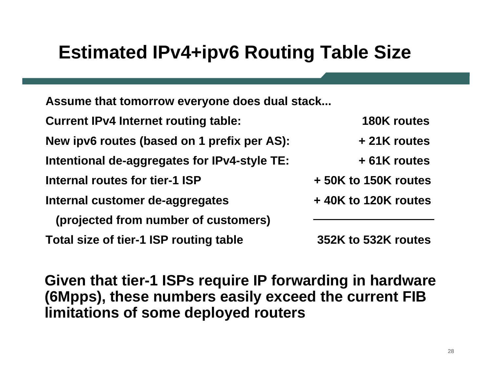# **Estimated IPv4+ipv6 Routing Table Size**

**Assume that tomorrow everyone does dual stack...**

**Current IPv4 Internet routing table: 180K routes**

**New ipv6 routes (based on 1 prefix per AS): + 21K routes**

**Intentional de-aggregates for IPv4-style TE: + 61K routes**

**Internal routes for tier-1 ISP**

**Internal customer de-aggregates + 40K to 120K routes**

**(projected from number of customers)**

**Total size of tier-1 ISP routing table 352K to 532K routes**

**+ 50K to 150K routes**

**Given that tier-1 ISPs require IP forwarding in hardware (6Mpps), these numbers easily exceed the current FIB limitations of some deployed routers**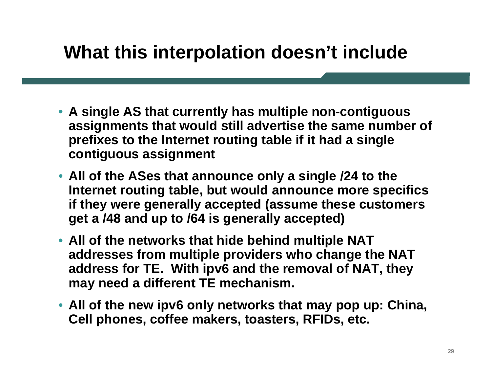## **What this interpolation doesn't include**

- **A single AS that currently has multiple non-contiguous assignments that would still advertise the same number of prefixes to the Internet routing table if it had a single contiguous assignment**
- **All of the ASes that announce only a single /24 to the Internet routing table, but would announce more specifics if they were generally accepted (assume these customers get a /48 and up to /64 is generally accepted)**
- **All of the networks that hide behind multiple NAT addresses from multiple providers who change the NAT address for TE. With ipv6 and the removal of NAT, they may need a different TE mechanism.**
- **All of the new ipv6 only networks that may pop up: China, Cell phones, coffee makers, toasters, RFIDs, etc.**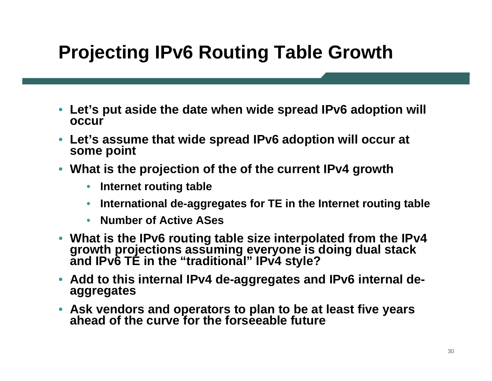# **Projecting IPv6 Routing Table Growth**

- **Let's put aside the date when wide spread IPv6 adoption will occur**
- **Let's assume that wide spread IPv6 adoption will occur at some point**
- **What is the projection of the of the current IPv4 growth**
	- $\bullet$ **Internet routing table**
	- $\bullet$ **International de-aggregates for TE in the Internet routing table**
	- $\bullet$ **Number of Active ASes**
- What is the IPv6 routing table size interpolated from the IPv4 **What is the IPv6 routing table size interpolated from the IPv4 growth projections assuming everyone is doing dual stack and IPv6 TE in the "traditional" IPv4 style?**
- **Add to this internal IPv4 de-aggregates and IPv6 internal deaggregates**
- **Ask vendors and operators to plan to be at least five years ahead of the curve for the forseeable future**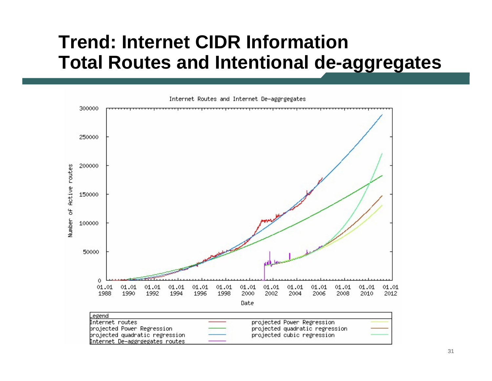### **Trend: Internet CIDR InformationTotal Routes and Intentional de-aggregates**

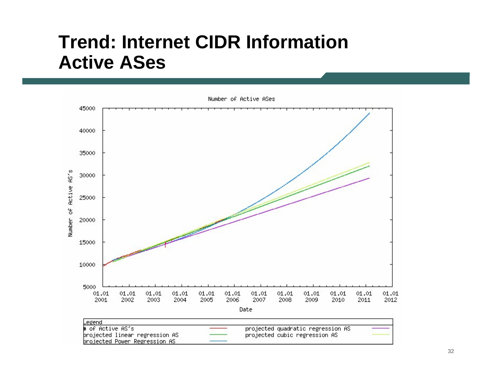#### **Trend: Internet CIDR InformationActive ASes**

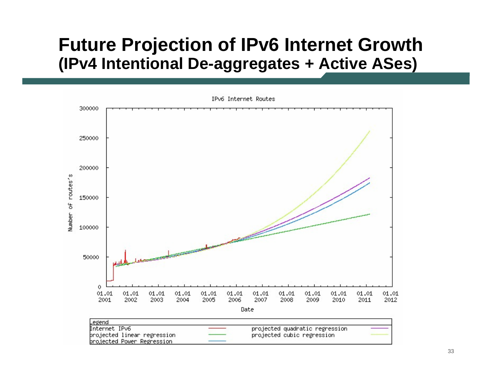#### **Future Projection of IPv6 Internet Growth (IPv4 Intentional De-aggregates + Active ASes)**

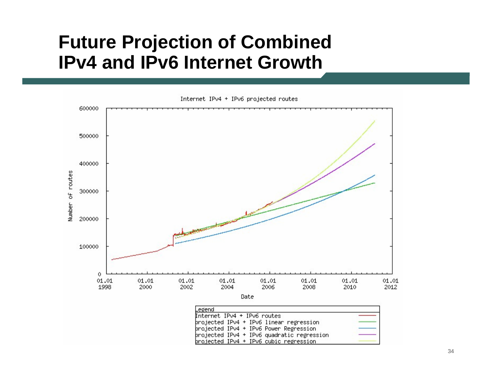#### **Future Projection of Combined IPv4 and IPv6 Internet Growth**



Internet IPv4 + IPv6 projected routes

Date

| Legend                                     |  |
|--------------------------------------------|--|
| Internet IPv4 + IPv6 routes                |  |
| projected IPv4 + IPv6 linear regression    |  |
| brojected IPv4 + IPv6 Power Regression     |  |
| projected IPv4 + IPv6 quadratic regression |  |
| projected IPv4 + IPv6 cubic regression     |  |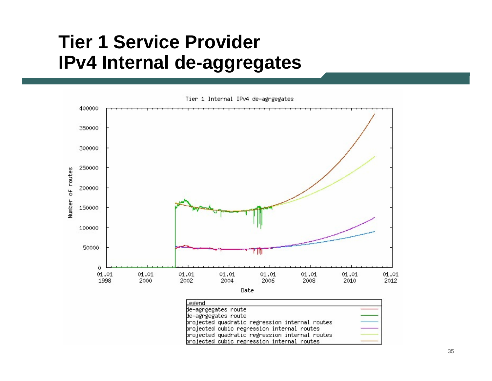### **Tier 1 Service Provider IPv4 Internal de-aggregates**



Tier 1 Internal IPv4 de-agrgegates

Date

| Legend                                         |  |
|------------------------------------------------|--|
| de-agrgegates route                            |  |
| de-agrgegates route                            |  |
| þrojected quadratic regression internal routes |  |
| þrojected cubic regression internal routes     |  |
| þrojected quadratic regression internal routes |  |
| projected cubic regression internal routes     |  |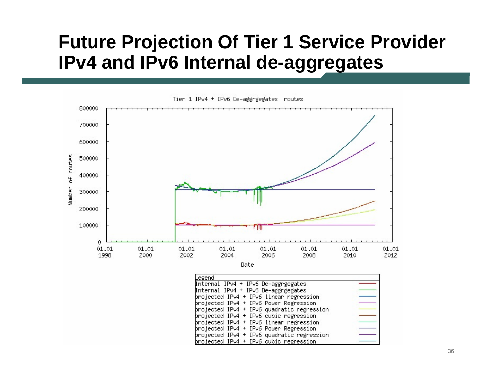### **Future Projection Of Tier 1 Service Provider IPv4 and IPv6 Internal de-aggregates**



| Internal IPv4 + IPv6 De-aggrgegates        |  |
|--------------------------------------------|--|
| Internal IPv4 + IPv6 De-aggrgegates        |  |
| brojected IPv4 + IPv6 linear regression    |  |
| projected IPv4 + IPv6 Power Regression     |  |
| þrojected IPv4 + IPv6 quadratic regression |  |
| projected IPv4 + IPv6 cubic regression     |  |
| projected IPv4 + IPv6 linear regression    |  |
| þrojected IPv4 + IPv6 Power Regression     |  |
| projected IPv4 + IPv6 quadratic regression |  |
| projected IPv4 + IPv6 cubic regression     |  |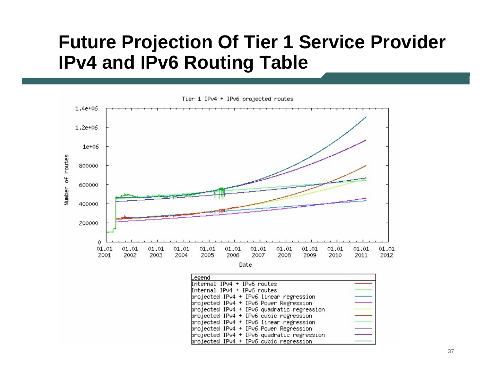#### **Future Projection Of Tier 1 Service Provider IPv4 and IPv6 Routing Table**



Tier 1 IPv4 + IPv6 projected routes

| Legend                                     |  |
|--------------------------------------------|--|
| Internal IPv4 + IPv6 routes                |  |
| Internal IPv4 + IPv6 routes                |  |
| brojected IPv4 + IPv6 linear regression    |  |
| projected IPv4 + IPv6 Power Regression     |  |
| projected IPv4 + IPv6 quadratic regression |  |
| brojected IPv4 + IPv6 cubic regression     |  |
| projected IPv4 + IPv6 linear regression    |  |
| brojected IPv4 + IPv6 Power Regression     |  |
| þrojected IPv4 + IPv6 quadratic regression |  |
| projected IPv4 + IPv6 cubic regression     |  |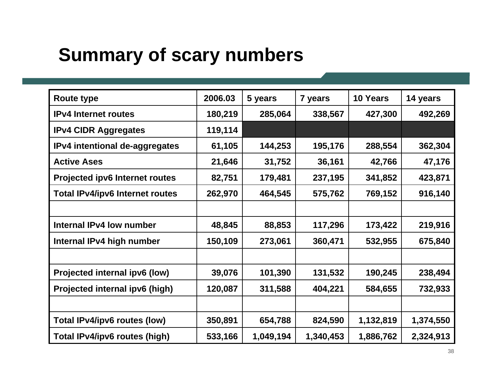# **Summary of scary numbers**

| <b>Route type</b>                      | 2006.03 | 5 years   | 7 years   | 10 Years  | 14 years  |
|----------------------------------------|---------|-----------|-----------|-----------|-----------|
| <b>IPv4 Internet routes</b>            | 180,219 | 285,064   | 338,567   | 427,300   | 492,269   |
| <b>IPv4 CIDR Aggregates</b>            | 119,114 |           |           |           |           |
| IPv4 intentional de-aggregates         | 61,105  | 144,253   | 195,176   | 288,554   | 362,304   |
| <b>Active Ases</b>                     | 21,646  | 31,752    | 36,161    | 42,766    | 47,176    |
| <b>Projected ipv6 Internet routes</b>  | 82,751  | 179,481   | 237,195   | 341,852   | 423,871   |
| <b>Total IPv4/ipv6 Internet routes</b> | 262,970 | 464,545   | 575,762   | 769,152   | 916,140   |
|                                        |         |           |           |           |           |
| <b>Internal IPv4 low number</b>        | 48,845  | 88,853    | 117,296   | 173,422   | 219,916   |
| Internal IPv4 high number              | 150,109 | 273,061   | 360,471   | 532,955   | 675,840   |
|                                        |         |           |           |           |           |
| Projected internal ipv6 (low)          | 39,076  | 101,390   | 131,532   | 190,245   | 238,494   |
| Projected internal ipv6 (high)         | 120,087 | 311,588   | 404,221   | 584,655   | 732,933   |
|                                        |         |           |           |           |           |
| Total IPv4/ipv6 routes (low)           | 350,891 | 654,788   | 824,590   | 1,132,819 | 1,374,550 |
| Total IPv4/ipv6 routes (high)          | 533,166 | 1,049,194 | 1,340,453 | 1,886,762 | 2,324,913 |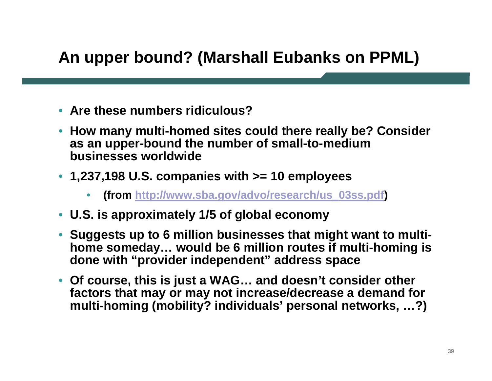#### **An upper bound? (Marshall Eubanks on PPML)**

- **Are these numbers ridiculous?**
- **How many multi-homed sites could there really be? Consider as an upper-bound the number of small-to-medium businesses worldwide**
- **1,237,198 U.S. companies with >= 10 employees**
	- •**(from [http://www.sba.gov/advo/research/us\\_03ss.pdf](http://www.sba.gov/advo/research/us_03ss.pdf) )**
- **U.S. is approximately 1/5 of global economy**
- • **Suggests up to 6 million businesses that might want to multihome someday… would be 6 million routes if multi-homing is done with "provider independent" address space**
- **Of course, this is just a WAG… and doesn't consider other factors that may or may not increase/decrease a demand for multi-homing (mobility? individuals' personal networks, …?)**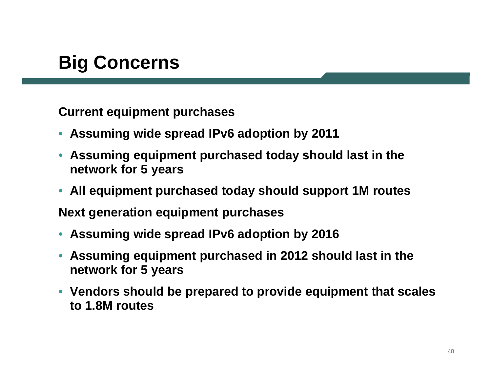# **Big Concerns**

**Current equipment purchases**

- •**Assuming wide spread IPv6 adoption by 2011**
- • **Assuming equipment purchased today should last in the network for 5 years**
- **All equipment purchased today should support 1M routes**

**Next generation equipment purchases**

- •**Assuming wide spread IPv6 adoption by 2016**
- • **Assuming equipment purchased in 2012 should last in the network for 5 years**
- **Vendors should be prepared to provide equipment that scales to 1.8M routes**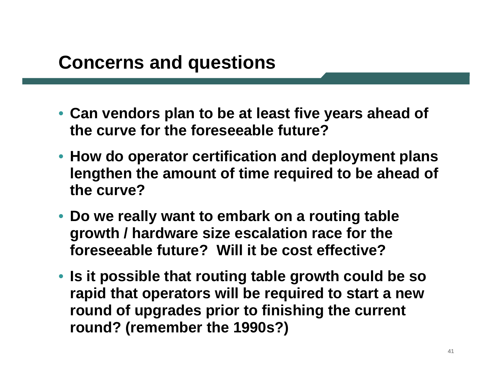## **Concerns and questions**

- **Can vendors plan to be at least five years ahead of the curve for the foreseeable future?**
- **How do operator certification and deployment plans lengthen the amount of time required to be ahead of the curve?**
- **Do we really want to embark on a routing table growth / hardware size escalation race for the foreseeable future? Will it be cost effective?**
- **Is it possible that routing table growth could be so rapid that operators will be required to start a new round of upgrades prior to finishing the current round? (remember the 1990s?)**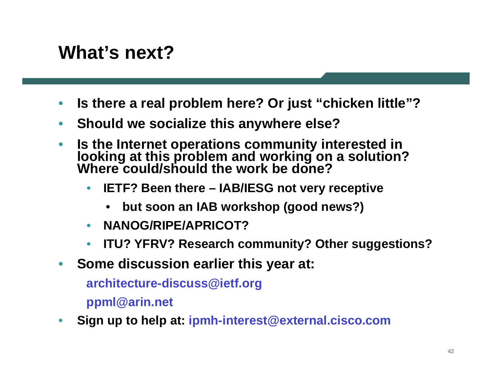# **What's next?**

- •**Is there a real problem here? Or just "chicken little"?**
- •**Should we socialize this anywhere else?**
- • **Is the Internet operations community interested in looking at this problem and working on a solution? Where could/should the work be done?**
	- • **IETF? Been there – IAB/IESG not very receptive**
		- •**but soon an IAB workshop (good news?)**
	- •**NANOG/RIPE/APRICOT?**
	- •**ITU? YFRV? Research community? Other suggestions?**
- •**Some discussion earlier this year at:**

**architecture-discuss@ietf.org**

**ppml@arin.net**

•**Sign up to help at: ipmh-interest@external.cisco.com**